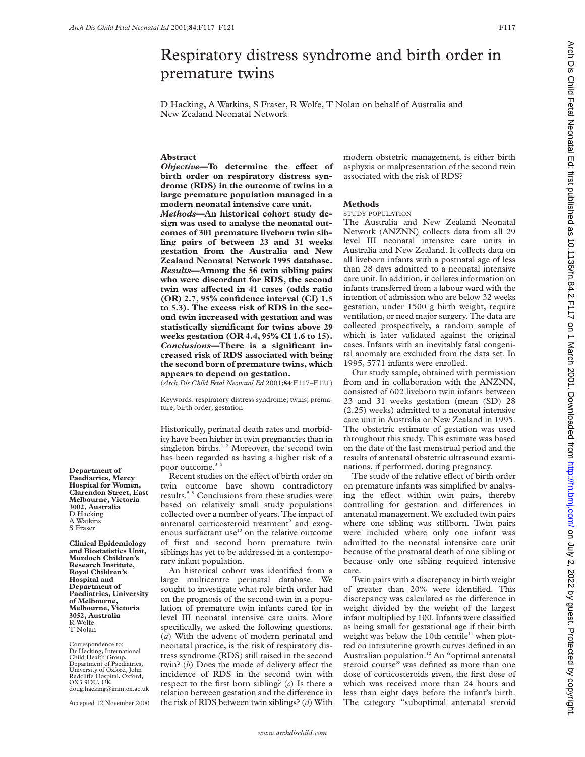# Respiratory distress syndrome and birth order in premature twins

D Hacking, A Watkins, S Fraser, R Wolfe, T Nolan on behalf of Australia and New Zealand Neonatal Network

# **Abstract**

*Objective*—To determine the effect of **birth order on respiratory distress syndrome (RDS) in the outcome of twins in a large premature population managed in a modern neonatal intensive care unit.** *Methods***—An historical cohort study design was used to analyse the neonatal outcomes of 301 premature liveborn twin sibling pairs of between 23 and 31 weeks gestation from the Australia and New Zealand Neonatal Network 1995 database.** *Results***—Among the 56 twin sibling pairs who were discordant for RDS, the second twin was aVected in 41 cases (odds ratio (OR) 2.7, 95% confidence interval (CI) 1.5 to 5.3). The excess risk of RDS in the second twin increased with gestation and was statistically significant for twins above 29 weeks gestation (OR 4.4, 95% CI 1.6 to 15).** *Conclusions***—There is a significant increased risk of RDS associated with being the second born of premature twins, which appears to depend on gestation.**

(*Arch Dis Child Fetal Neonatal Ed* 2001;**84**:F117–F121)

Keywords: respiratory distress syndrome; twins; premature; birth order; gestation

Historically, perinatal death rates and morbidity have been higher in twin pregnancies than in singleton births.<sup>12</sup> Moreover, the second twin has been regarded as having a higher risk of a poor outcome.<sup>34</sup>

Recent studies on the effect of birth order on twin outcome have shown contradictory results.5–8 Conclusions from these studies were based on relatively small study populations collected over a number of years. The impact of antenatal corticosteroid treatment<sup>9</sup> and exogenous surfactant use $10$  on the relative outcome of first and second born premature twin siblings has yet to be addressed in a contemporary infant population.

An historical cohort was identified from a large multicentre perinatal database. We sought to investigate what role birth order had on the prognosis of the second twin in a population of premature twin infants cared for in level III neonatal intensive care units. More specifically, we asked the following questions. (*a*) With the advent of modern perinatal and neonatal practice, is the risk of respiratory distress syndrome (RDS) still raised in the second twin? (b) Does the mode of delivery affect the incidence of RDS in the second twin with respect to the first born sibling? (*c*) Is there a relation between gestation and the difference in the risk of RDS between twin siblings? (*d*) With modern obstetric management, is either birth asphyxia or malpresentation of the second twin associated with the risk of RDS?

#### **Methods**

#### STUDY POPULATION

The Australia and New Zealand Neonatal Network (ANZNN) collects data from all 29 level III neonatal intensive care units in Australia and New Zealand. It collects data on all liveborn infants with a postnatal age of less than 28 days admitted to a neonatal intensive care unit. In addition, it collates information on infants transferred from a labour ward with the intention of admission who are below 32 weeks gestation, under 1500 g birth weight, require ventilation, or need major surgery. The data are collected prospectively, a random sample of which is later validated against the original cases. Infants with an inevitably fatal congenital anomaly are excluded from the data set. In 1995, 5771 infants were enrolled.

Our study sample, obtained with permission from and in collaboration with the ANZNN, consisted of 602 liveborn twin infants between 23 and 31 weeks gestation (mean (SD) 28 (2.25) weeks) admitted to a neonatal intensive care unit in Australia or New Zealand in 1995. The obstetric estimate of gestation was used throughout this study. This estimate was based on the date of the last menstrual period and the results of antenatal obstetric ultrasound examinations, if performed, during pregnancy.

The study of the relative effect of birth order on premature infants was simplified by analysing the effect within twin pairs, thereby controlling for gestation and differences in antenatal management. We excluded twin pairs where one sibling was stillborn. Twin pairs were included where only one infant was admitted to the neonatal intensive care unit because of the postnatal death of one sibling or because only one sibling required intensive care.

Twin pairs with a discrepancy in birth weight of greater than 20% were identified. This discrepancy was calculated as the difference in weight divided by the weight of the largest infant multiplied by 100. Infants were classified as being small for gestational age if their birth weight was below the 10th centile<sup>11</sup> when plotted on intrauterine growth curves defined in an Australian population.<sup>12</sup> An "optimal antenatal steroid course" was defined as more than one dose of corticosteroids given, the first dose of which was received more than 24 hours and less than eight days before the infant's birth. The category "suboptimal antenatal steroid

**Department of Paediatrics, Mercy Hospital for Women, Clarendon Street, East Melbourne, Victoria 3002, Australia** D Hacking A Watkins S Fraser

**Clinical Epidemiology and Biostatistics Unit, Murdoch Children's Research Institute, Royal Children's Hospital and Department of Paediatrics, University of Melbourne, Melbourne, Victoria 3052, Australia** R Wolfe T Nolan

Correspondence to: Dr Hacking, International Child Health Group, Department of Paediatrics, University of Oxford, John<br>Radcliffe Hospital, Oxford, OX3 9DU, UK doug.hacking@imm.ox.ac.uk

Accepted 12 November 2000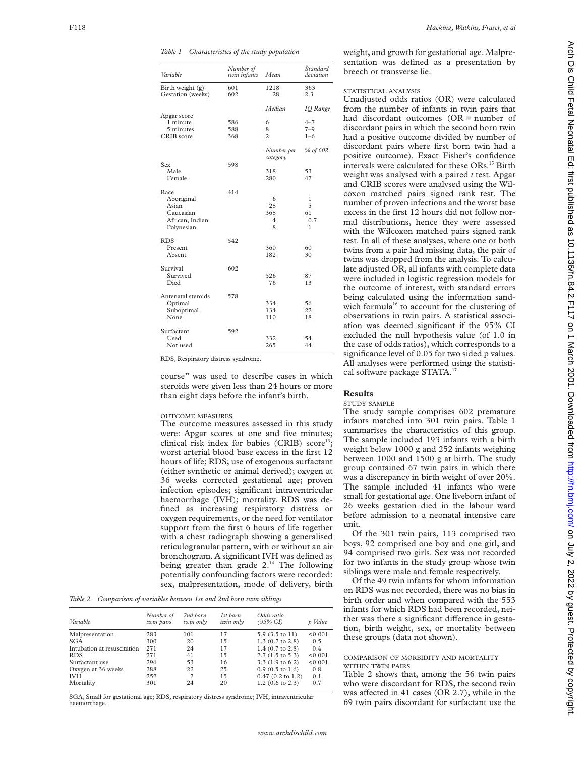*Table 1 Characteristics of the study population*

| Variable           | Number of<br>twin infants | Mean           | Standard<br>deviation |
|--------------------|---------------------------|----------------|-----------------------|
| Birth weight (g)   | 601                       | 1218           | 363                   |
| Gestation (weeks)  | 602                       | 28             | 2.3                   |
|                    |                           | Median         | <b>IO</b> Range       |
| Apgar score        |                           |                |                       |
| 1 minute           | 586                       | 6              | $4 - 7$               |
| 5 minutes          | 588                       | 8              | $7 - 9$               |
| CRIB score         | 368                       | $\overline{c}$ | $1 - 6$               |
|                    |                           | Number per     | % of 602              |
|                    |                           | category       |                       |
| Sex                | 598                       |                |                       |
| Male               |                           | 318            | 53                    |
| Female             |                           | 280            | 47                    |
| Race               | 414                       |                |                       |
| Aboriginal         |                           | 6              | 1                     |
| Asian              |                           | 28             | 5                     |
| Caucasian          |                           | 368            | 61                    |
| African, Indian    |                           | 4              | 0.7                   |
| Polynesian         |                           | 8              | 1                     |
| <b>RDS</b>         | 542                       |                |                       |
| Present            |                           | 360            | 60                    |
| Absent             |                           | 182            | 30                    |
| Survival           | 602                       |                |                       |
| Survived           |                           | 526            | 87                    |
| Died               |                           | 76             | 13                    |
| Antenatal steroids | 578                       |                |                       |
| Optimal            |                           | 334            | 56                    |
| Suboptimal         |                           | 134            | 22                    |
| None               |                           | 110            | 18                    |
| Surfactant         | 592                       |                |                       |
| Used               |                           | 332            | 54                    |
| Not used           |                           | 265            | 44                    |

RDS, Respiratory distress syndrome.

course" was used to describe cases in which steroids were given less than 24 hours or more than eight days before the infant's birth.

## OUTCOME MEASURES

The outcome measures assessed in this study were: Apgar scores at one and five minutes; clinical risk index for babies  $(CRIB)$  score<sup>13</sup>; worst arterial blood base excess in the first 12 hours of life; RDS; use of exogenous surfactant (either synthetic or animal derived); oxygen at 36 weeks corrected gestational age; proven infection episodes; significant intraventricular haemorrhage (IVH); mortality. RDS was defined as increasing respiratory distress or oxygen requirements, or the need for ventilator support from the first 6 hours of life together with a chest radiograph showing a generalised reticulogranular pattern, with or without an air bronchogram. A significant IVH was defined as being greater than grade  $2.^{14}$ . The following potentially confounding factors were recorded: sex, malpresentation, mode of delivery, birth

*Table 2 Comparison of variables between 1st and 2nd born twin siblings*

| Variable                    | Number of<br>twin pairs | 2nd born<br>twin only | 1st born<br>twin only | Odds ratio<br>$(95\% \text{ CI})$ | p Value |
|-----------------------------|-------------------------|-----------------------|-----------------------|-----------------------------------|---------|
|                             |                         |                       |                       |                                   |         |
| Malpresentation             | 283                     | 101                   | 17                    | 5.9 (3.5 to 11)                   | < 0.001 |
| <b>SGA</b>                  | 300                     | 20                    | 15                    | $1.3$ (0.7 to 2.8)                | 0.5     |
| Intubation at resuscitation | 271                     | 24                    | 17                    | $1.4$ (0.7 to 2.8)                | 0.4     |
| <b>RDS</b>                  | 271                     | 41                    | 15                    | $2.7(1.5 \text{ to } 5.3)$        | < 0.001 |
| Surfactant use              | 296                     | 53                    | 16                    | $3.3(1.9 \text{ to } 6.2)$        | < 0.001 |
| Oxygen at 36 weeks          | 288                     | 22                    | 25                    | $0.9$ (0.5 to 1.6)                | 0.8     |
| IVH                         | 252                     |                       | 15                    | $0.47$ (0.2 to 1.2)               | 0.1     |
| Mortality                   | 301                     | 24                    | 20                    | $1.2(0.6 \text{ to } 2.3)$        | 0.7     |

SGA, Small for gestational age; RDS, respiratory distress syndrome; IVH, intraventricular haemorrhage.

weight, and growth for gestational age. Malpresentation was defined as a presentation by breech or transverse lie.

# STATISTICAL ANALYSIS

Unadjusted odds ratios (OR) were calculated from the number of infants in twin pairs that had discordant outcomes (OR = number of discordant pairs in which the second born twin had a positive outcome divided by number of discordant pairs where first born twin had a positive outcome). Exact Fisher's confidence intervals were calculated for these ORs.<sup>15</sup> Birth weight was analysed with a paired *t* test. Apgar and CRIB scores were analysed using the Wilcoxon matched pairs signed rank test. The number of proven infections and the worst base excess in the first 12 hours did not follow normal distributions, hence they were assessed with the Wilcoxon matched pairs signed rank test. In all of these analyses, where one or both twins from a pair had missing data, the pair of twins was dropped from the analysis. To calculate adjusted OR, all infants with complete data were included in logistic regression models for the outcome of interest, with standard errors being calculated using the information sandwich formula<sup>16</sup> to account for the clustering of observations in twin pairs. A statistical association was deemed significant if the 95% CI excluded the null hypothesis value (of 1.0 in the case of odds ratios), which corresponds to a significance level of 0.05 for two sided p values. All analyses were performed using the statistical software package STATA.17

#### **Results**

#### STUDY SAMPLE

The study sample comprises 602 premature infants matched into 301 twin pairs. Table 1 summarises the characteristics of this group. The sample included 193 infants with a birth weight below 1000 g and 252 infants weighing between 1000 and 1500 g at birth. The study group contained 67 twin pairs in which there was a discrepancy in birth weight of over 20%. The sample included 41 infants who were small for gestational age. One liveborn infant of 26 weeks gestation died in the labour ward before admission to a neonatal intensive care unit.

Of the 301 twin pairs, 113 comprised two boys, 92 comprised one boy and one girl, and 94 comprised two girls. Sex was not recorded for two infants in the study group whose twin siblings were male and female respectively.

Of the 49 twin infants for whom information on RDS was not recorded, there was no bias in birth order and when compared with the 553 infants for which RDS had been recorded, neither was there a significant difference in gestation, birth weight, sex, or mortality between these groups (data not shown).

## COMPARISON OF MORBIDITY AND MORTALITY WITHIN TWIN PAIRS

Table 2 shows that, among the 56 twin pairs who were discordant for RDS, the second twin was affected in 41 cases (OR 2.7), while in the 69 twin pairs discordant for surfactant use the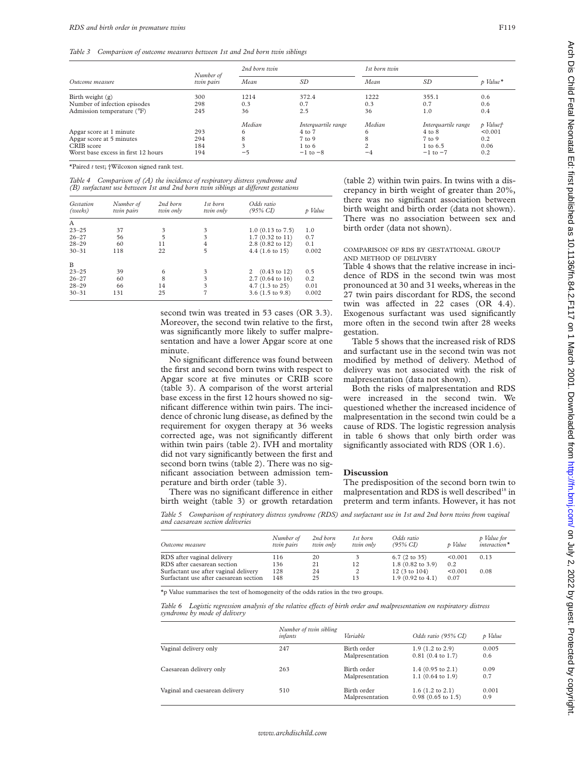*Table 3 Comparison of outcome measures between 1st and 2nd born twin siblings*

|                                     |                         | 2nd born twin |                     | 1st born twin |                     |            |
|-------------------------------------|-------------------------|---------------|---------------------|---------------|---------------------|------------|
| Outcome measure                     | Number of<br>twin pairs | Mean          | SD                  | Mean          | SD                  | $p$ Value* |
| Birth weight $(g)$                  | 300                     | 1214          | 372.4               | 1222          | 355.1               | 0.6        |
| Number of infection episodes        | 298                     | 0.3           | 0.7                 | 0.3           | 0.7                 | 0.6        |
| Admission temperature (°F)          | 245                     | 36            | 2.5                 | 36            | 1.0                 | 0.4        |
|                                     |                         | Median        | Interguartile range | Median        | Interguartile range | p Valuet   |
| Apgar score at 1 minute             | 293                     | <sub>0</sub>  | 4 to 7              | 6             | $4$ to $8$          | < 0.001    |
| Apgar score at 5 minutes            | 294                     |               | 7 to 9              |               | $7$ to 9            | 0.2        |
| CRIB score                          | 184                     |               | $1 \text{ to } 6$   |               | $1 \text{ to } 6.5$ | 0.06       |
| Worst base excess in first 12 hours | 194                     | $-5$          | $-1$ to $-8$        | $-4$          | $-1$ to $-7$        | 0.2        |

\*Paired *t* test; †Wilcoxon signed rank test.

*Table 4 Comparison of (A) the incidence of respiratory distress syndrome and (B)* surfactant use between 1st and 2nd born twin siblings at different gestations

| Gestation<br>(weeks) | Number of<br>twin pairs | 2nd born<br>twin only | 1st born<br>twin only | Odds ratio<br>$(95\% \text{ CI})$ | p Value |
|----------------------|-------------------------|-----------------------|-----------------------|-----------------------------------|---------|
| A                    |                         |                       |                       |                                   |         |
| $23 - 25$            | 37                      | 3                     | 3                     | $1.0$ (0.13 to 7.5)               | 1.0     |
| $26 - 27$            | 56                      | $\overline{5}$        | 3                     | $1.7(0.32 \text{ to } 11)$        | 0.7     |
| $28 - 29$            | 60                      | 11                    | $\overline{4}$        | 2.8 (0.82 to 12)                  | 0.1     |
| $30 - 31$            | 118                     | 22                    | 5                     | $4.4(1.6 \text{ to } 15)$         | 0.002   |
| B                    |                         |                       |                       |                                   |         |
| $23 - 25$            | 39                      | 6                     | 3                     | $(0.43 \text{ to } 12)$<br>2      | 0.5     |
| $26 - 27$            | 60                      | 8                     | 3                     | $2.7(0.64 \text{ to } 16)$        | 0.2     |
| $28 - 29$            | 66                      | 14                    | 3                     | $4.7(1.3 \text{ to } 25)$         | 0.01    |
| $30 - 31$            | 131                     | 25                    | 7                     | $3.6(1.5 \text{ to } 9.8)$        | 0.002   |

second twin was treated in 53 cases (OR 3.3). Moreover, the second twin relative to the first, was significantly more likely to suffer malpresentation and have a lower Apgar score at one minute.

No significant difference was found between the first and second born twins with respect to Apgar score at five minutes or CRIB score (table 3). A comparison of the worst arterial base excess in the first 12 hours showed no significant difference within twin pairs. The incidence of chronic lung disease, as defined by the requirement for oxygen therapy at 36 weeks corrected age, was not significantly different within twin pairs (table 2). IVH and mortality did not vary significantly between the first and second born twins (table 2). There was no significant association between admission temperature and birth order (table 3).

There was no significant difference in either

(table 2) within twin pairs. In twins with a discrepancy in birth weight of greater than 20%, there was no significant association between birth weight and birth order (data not shown). There was no association between sex and birth order (data not shown).

#### COMPARISON OF RDS BY GESTATIONAL GROUP AND METHOD OF DELIVERY

Table 4 shows that the relative increase in incidence of RDS in the second twin was most pronounced at 30 and 31 weeks, whereas in the 27 twin pairs discordant for RDS, the second twin was affected in  $22$  cases (OR  $4.4$ ). Exogenous surfactant was used significantly more often in the second twin after 28 weeks gestation.

Table 5 shows that the increased risk of RDS and surfactant use in the second twin was not modified by method of delivery. Method of delivery was not associated with the risk of malpresentation (data not shown).

Both the risks of malpresentation and RDS were increased in the second twin. We questioned whether the increased incidence of malpresentation in the second twin could be a cause of RDS. The logistic regression analysis in table 6 shows that only birth order was significantly associated with RDS (OR 1.6).

## **Discussion**

The predisposition of the second born twin to malpresentation and RDS is well described<sup>18</sup> in preterm and term infants. However, it has not

birth weight (table 3) or growth retardation

*Table 5 Comparison of respiratory distress syndrome (RDS) and surfactant use in 1st and 2nd born twins from vaginal and caesarean section deliveries*

| Outcome measure                                                                 | Number of<br>twin pairs | 2nd born<br>twin only | 1st born<br>twin only | Odds ratio<br>$(95\% \, CI)$                           | p Value         | p Value for<br>$interaction*$ |
|---------------------------------------------------------------------------------|-------------------------|-----------------------|-----------------------|--------------------------------------------------------|-----------------|-------------------------------|
| RDS after vaginal delivery                                                      | 116                     | 20                    |                       | $6.7$ (2 to 35)                                        | < 0.001         | 0.13                          |
| RDS after caesarean section                                                     | 136                     | 21                    | 12                    | $1.8(0.82 \text{ to } 3.9)$                            | 0.2             |                               |
| Surfactant use after vaginal delivery<br>Surfactant use after caesarean section | 128<br>148              | 24<br>25              | 13                    | $12(3 \text{ to } 104)$<br>$1.9(0.92 \text{ to } 4.1)$ | < 0.001<br>0.07 | 0.08                          |

\*p Value summarises the test of homogeneity of the odds ratios in the two groups.

Table 6 Logistic regression analysis of the relative effects of birth order and malpresentation on respiratory distress *syndrome by mode of delivery*

|                                | Number of twin sibling<br>infants | Variable                       | Odds ratio (95% CI)                                          | p Value      |
|--------------------------------|-----------------------------------|--------------------------------|--------------------------------------------------------------|--------------|
| Vaginal delivery only          | 247                               | Birth order<br>Malpresentation | $1.9(1.2 \text{ to } 2.9)$<br>$0.81$ (0.4 to 1.7)            | 0.005<br>0.6 |
| Caesarean delivery only        | 263                               | Birth order<br>Malpresentation | 1.4 $(0.95 \text{ to } 2.1)$<br>1.1 $(0.64 \text{ to } 1.9)$ | 0.09<br>0.7  |
| Vaginal and caesarean delivery | 510                               | Birth order<br>Malpresentation | $1.6$ (1.2 to 2.1)<br>$0.98$ (0.65 to 1.5)                   | 0.001<br>0.9 |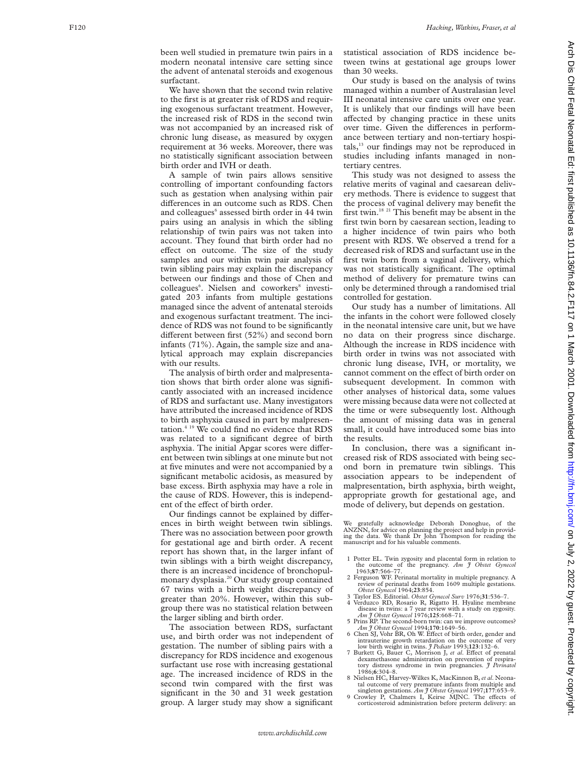been well studied in premature twin pairs in a modern neonatal intensive care setting since the advent of antenatal steroids and exogenous surfactant.

We have shown that the second twin relative to the first is at greater risk of RDS and requiring exogenous surfactant treatment. However, the increased risk of RDS in the second twin was not accompanied by an increased risk of chronic lung disease, as measured by oxygen requirement at 36 weeks. Moreover, there was no statistically significant association between birth order and IVH or death.

A sample of twin pairs allows sensitive controlling of important confounding factors such as gestation when analysing within pair differences in an outcome such as RDS. Chen and colleagues <sup>6</sup> assessed birth order in 44 twin pairs using an analysis in which the sibling relationship of twin pairs was not taken into account. They found that birth order had no effect on outcome. The size of the study samples and our within twin pair analysis of twin sibling pairs may explain the discrepancy between our findings and those of Chen and colleagues 6 . Nielsen and coworkers <sup>8</sup> investigated 203 infants from multiple gestations managed since the advent of antenatal steroids and exogenous surfactant treatment. The incidence of RDS was not found to be significantly different between first (52%) and second born infants (71%). Again, the sample size and analytical approach may explain discrepancies with our results.

The analysis of birth order and malpresentation shows that birth order alone was significantly associated with an increased incidence of RDS and surfactant use. Many investigators have attributed the increased incidence of RDS to birth asphyxia caused in part by malpresentation.4 19 We could find no evidence that RDS was related to a significant degree of birth asphyxia. The initial Apgar scores were different between twin siblings at one minute but not at five minutes and were not accompanied by a significant metabolic acidosis, as measured by base excess. Birth asphyxia may have a role in the cause of RDS. However, this is independent of the effect of birth order.

Our findings cannot be explained by differences in birth weight between twin siblings. There was no association between poor growth for gestational age and birth order. A recent report has shown that, in the larger infant of twin siblings with a birth weight discrepancy, there is an increased incidence of bronchopulmonary dysplasia.20 Our study group contained 67 twins with a birth weight discrepancy of greater than 20%. However, within this subgroup there was no statistical relation between the larger sibling and birth order.

The association between RDS, surfactant use, and birth order was not independent of gestation. The number of sibling pairs with a discrepancy for RDS incidence and exogenous surfactant use rose with increasing gestational age. The increased incidence of RDS in the second twin compared with the first was significant in the 30 and 31 week gestation group. A larger study may show a significant

statistical association of RDS incidence between twins at gestational age groups lower than 30 weeks.

Our study is based on the analysis of twins managed within a number of Australasian level III neonatal intensive care units over one year. It is unlikely that our findings will have been affected by changing practice in these units over time. Given the differences in performance between tertiary and non-tertiary hospi $tals$ ,<sup>13</sup> our findings may not be reproduced in studies including infants managed in nontertiary centres.

This study was not designed to assess the relative merits of vaginal and caesarean delivery methods. There is evidence to suggest that the process of vaginal delivery may benefit the first twin.18 21 This benefit may be absent in the first twin born by caesarean section, leading to a higher incidence of twin pairs who both present with RDS. We observed a trend for a decreased risk of RDS and surfactant use in the first twin born from a vaginal delivery, which was not statistically significant. The optimal method of delivery for premature twins can only be determined through a randomised trial controlled for gestation.

Our study has a number of limitations. All the infants in the cohort were followed closely in the neonatal intensive care unit, but we have no data on their progress since discharge. Although the increase in RDS incidence with birth order in twins was not associated with chronic lung disease, IVH, or mortality, we cannot comment on the effect of birth order on subsequent development. In common with other analyses of historical data, some values were missing because data were not collected at the time or were subsequently lost. Although the amount of missing data was in general small, it could have introduced some bias into the results.

In conclusion, there was a significant increased risk of RDS associated with being second born in premature twin siblings. This association appears to be independent of malpresentation, birth asphyxia, birth weight, appropriate growth for gestational age, and mode of delivery, but depends on gestation.

We gratefully acknowledge Deborah Donoghue, of the ANZNN, for advice on planning the project and help in providing the data. We thank Dr John Thompson for reading the manuscript and for his valuable comments.

- 1 Potter EL. Twin zygosity and placental form in relation to the outcome of the pregnancy. *Am J Obstet Gynecol* 1963;**87**:566–77.
- 2 Ferguson WF. Perinatal mortality in multiple pregnancy. A review of perinatal deaths from 1609 multiple gestations. *Obstet Gynecol* 1964;**23**:854.
- 3 Taylor ES. Editorial. *Obstet Gynecol Surv* 1976;**31**:536–7. Verduzco RD, Rosario R, Rigatto H. Hyaline membrane
- disease in twins: a 7 year review with a study on zygosity. *Am J Obstet Gynecol* 1976;**125**:668–71. 5 Prins RP. The second-born twin: can we improve outcomes?
- *Am J Obstet Gynecol* 1994;**170**:1649–56. 6 Chen SJ, Vohr BR, Oh W. Effect of birth order, gender and
- intrauterine growth retardation on the outcome of very low birth weight in twins. *J Pediatr* 1993;**123**:132–6. 7 Burkett G, Bauer C, Morrison J, et al. Effect of prenatal dexamethasone administration on prevention of respira-tory distress syndrome in twin pregnancies. *J Perinatol* tory distress s<br>1986;6:304-8.
- **<sup>6</sup>**:304–8. 8 Nielsen HC, Harvey-Wilkes K, MacKinnon B, *et al*. Neonatal outcome of very premature infants from multiple and<br>singleton gestations. *Am J Obstet Gynecol* 1997;171:653–9.<br>Orowley P, Chalmers I, Keirse MJNC. The effects of
- corticosteroid administration before preterm delivery: an